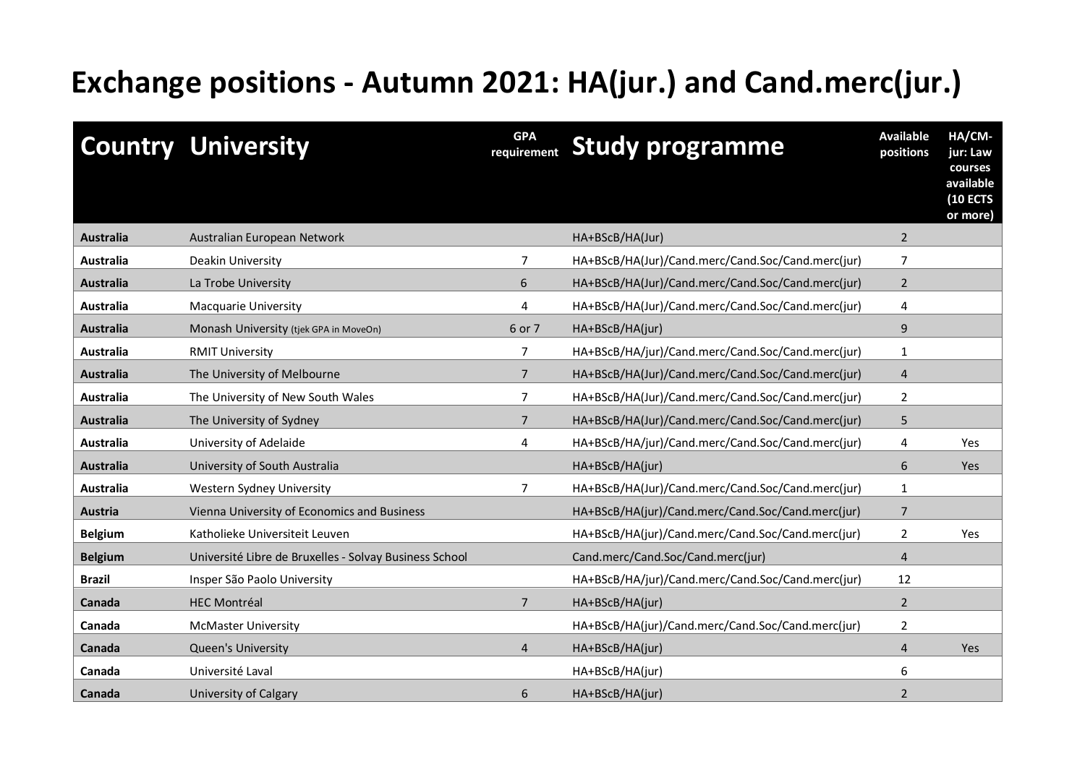## **Exchange positions - Autumn 2021: HA(jur.) and Cand.merc(jur.)**

|                  | <b>Country University</b>                              | <b>GPA</b><br>requirement | <b>Study programme</b>                            | <b>Available</b><br>positions | HA/CM-<br>jur: Law<br>courses<br>available<br><b>(10 ECTS</b><br>or more) |
|------------------|--------------------------------------------------------|---------------------------|---------------------------------------------------|-------------------------------|---------------------------------------------------------------------------|
| <b>Australia</b> | Australian European Network                            |                           | HA+BScB/HA(Jur)                                   | $\overline{2}$                |                                                                           |
| Australia        | Deakin University                                      | 7                         | HA+BScB/HA(Jur)/Cand.merc/Cand.Soc/Cand.merc(jur) | 7                             |                                                                           |
| <b>Australia</b> | La Trobe University                                    | 6                         | HA+BScB/HA(Jur)/Cand.merc/Cand.Soc/Cand.merc(jur) | $\overline{2}$                |                                                                           |
| Australia        | Macquarie University                                   | 4                         | HA+BScB/HA(Jur)/Cand.merc/Cand.Soc/Cand.merc(jur) | 4                             |                                                                           |
| Australia        | Monash University (tjek GPA in MoveOn)                 | 6 or 7                    | HA+BScB/HA(jur)                                   | 9                             |                                                                           |
| Australia        | <b>RMIT University</b>                                 | $\overline{7}$            | HA+BScB/HA/jur)/Cand.merc/Cand.Soc/Cand.merc(jur) | $\mathbf{1}$                  |                                                                           |
| <b>Australia</b> | The University of Melbourne                            | $\overline{7}$            | HA+BScB/HA(Jur)/Cand.merc/Cand.Soc/Cand.merc(jur) | $\overline{4}$                |                                                                           |
| <b>Australia</b> | The University of New South Wales                      | $\overline{7}$            | HA+BScB/HA(Jur)/Cand.merc/Cand.Soc/Cand.merc(jur) | $\overline{2}$                |                                                                           |
| <b>Australia</b> | The University of Sydney                               | $\overline{7}$            | HA+BScB/HA(Jur)/Cand.merc/Cand.Soc/Cand.merc(jur) | 5                             |                                                                           |
| <b>Australia</b> | University of Adelaide                                 | 4                         | HA+BScB/HA/jur)/Cand.merc/Cand.Soc/Cand.merc(jur) | 4                             | Yes                                                                       |
| <b>Australia</b> | University of South Australia                          |                           | HA+BScB/HA(jur)                                   | 6                             | <b>Yes</b>                                                                |
| <b>Australia</b> | Western Sydney University                              | $\overline{7}$            | HA+BScB/HA(Jur)/Cand.merc/Cand.Soc/Cand.merc(jur) | $\mathbf{1}$                  |                                                                           |
| <b>Austria</b>   | Vienna University of Economics and Business            |                           | HA+BScB/HA(jur)/Cand.merc/Cand.Soc/Cand.merc(jur) | $\overline{7}$                |                                                                           |
| <b>Belgium</b>   | Katholieke Universiteit Leuven                         |                           | HA+BScB/HA(jur)/Cand.merc/Cand.Soc/Cand.merc(jur) | 2                             | Yes                                                                       |
| <b>Belgium</b>   | Université Libre de Bruxelles - Solvay Business School |                           | Cand.merc/Cand.Soc/Cand.merc(jur)                 | $\overline{4}$                |                                                                           |
| <b>Brazil</b>    | Insper São Paolo University                            |                           | HA+BScB/HA/jur)/Cand.merc/Cand.Soc/Cand.merc(jur) | 12                            |                                                                           |
| Canada           | <b>HEC Montréal</b>                                    | $\overline{7}$            | HA+BScB/HA(jur)                                   | $\overline{2}$                |                                                                           |
| Canada           | <b>McMaster University</b>                             |                           | HA+BScB/HA(jur)/Cand.merc/Cand.Soc/Cand.merc(jur) | $\overline{2}$                |                                                                           |
| Canada           | Queen's University                                     | 4                         | HA+BScB/HA(jur)                                   | 4                             | Yes                                                                       |
| Canada           | Université Laval                                       |                           | HA+BScB/HA(jur)                                   | 6                             |                                                                           |
| Canada           | University of Calgary                                  | 6                         | HA+BScB/HA(jur)                                   | $\overline{2}$                |                                                                           |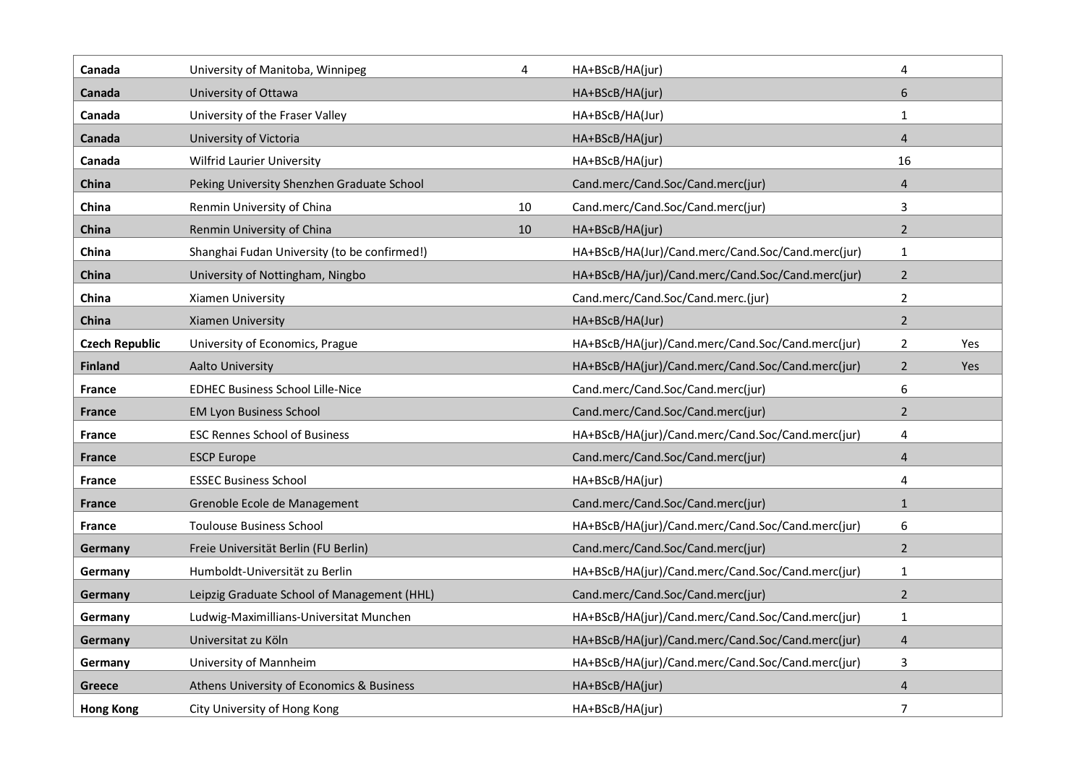| Canada                | University of Manitoba, Winnipeg             | 4  | HA+BScB/HA(jur)                                   | 4              |     |
|-----------------------|----------------------------------------------|----|---------------------------------------------------|----------------|-----|
| Canada                | University of Ottawa                         |    | HA+BScB/HA(jur)                                   | 6              |     |
| Canada                | University of the Fraser Valley              |    | HA+BScB/HA(Jur)                                   | $\mathbf{1}$   |     |
| Canada                | University of Victoria                       |    | HA+BScB/HA(jur)                                   | 4              |     |
| Canada                | Wilfrid Laurier University                   |    | HA+BScB/HA(jur)                                   | 16             |     |
| China                 | Peking University Shenzhen Graduate School   |    | Cand.merc/Cand.Soc/Cand.merc(jur)                 | $\overline{4}$ |     |
| China                 | Renmin University of China                   | 10 | Cand.merc/Cand.Soc/Cand.merc(jur)                 | 3              |     |
| China                 | Renmin University of China                   | 10 | HA+BScB/HA(jur)                                   | $\overline{2}$ |     |
| China                 | Shanghai Fudan University (to be confirmed!) |    | HA+BScB/HA(Jur)/Cand.merc/Cand.Soc/Cand.merc(jur) | $\mathbf{1}$   |     |
| China                 | University of Nottingham, Ningbo             |    | HA+BScB/HA/jur)/Cand.merc/Cand.Soc/Cand.merc(jur) | $\overline{2}$ |     |
| China                 | Xiamen University                            |    | Cand.merc/Cand.Soc/Cand.merc.(jur)                | $\overline{2}$ |     |
| China                 | <b>Xiamen University</b>                     |    | HA+BScB/HA(Jur)                                   | $\overline{2}$ |     |
| <b>Czech Republic</b> | University of Economics, Prague              |    | HA+BScB/HA(jur)/Cand.merc/Cand.Soc/Cand.merc(jur) | $\overline{2}$ | Yes |
| <b>Finland</b>        | <b>Aalto University</b>                      |    | HA+BScB/HA(jur)/Cand.merc/Cand.Soc/Cand.merc(jur) | $\overline{2}$ | Yes |
| <b>France</b>         | <b>EDHEC Business School Lille-Nice</b>      |    | Cand.merc/Cand.Soc/Cand.merc(jur)                 | 6              |     |
| France                | <b>EM Lyon Business School</b>               |    | Cand.merc/Cand.Soc/Cand.merc(jur)                 | $\overline{2}$ |     |
| <b>France</b>         | <b>ESC Rennes School of Business</b>         |    | HA+BScB/HA(jur)/Cand.merc/Cand.Soc/Cand.merc(jur) | 4              |     |
| France                | <b>ESCP Europe</b>                           |    | Cand.merc/Cand.Soc/Cand.merc(jur)                 | 4              |     |
| <b>France</b>         | <b>ESSEC Business School</b>                 |    | HA+BScB/HA(jur)                                   | 4              |     |
| France                | Grenoble Ecole de Management                 |    | Cand.merc/Cand.Soc/Cand.merc(jur)                 | $\mathbf{1}$   |     |
| <b>France</b>         | <b>Toulouse Business School</b>              |    | HA+BScB/HA(jur)/Cand.merc/Cand.Soc/Cand.merc(jur) | 6              |     |
| Germany               | Freie Universität Berlin (FU Berlin)         |    | Cand.merc/Cand.Soc/Cand.merc(jur)                 | $\overline{2}$ |     |
| Germany               | Humboldt-Universität zu Berlin               |    | HA+BScB/HA(jur)/Cand.merc/Cand.Soc/Cand.merc(jur) | $\mathbf{1}$   |     |
| Germany               | Leipzig Graduate School of Management (HHL)  |    | Cand.merc/Cand.Soc/Cand.merc(jur)                 | $\overline{2}$ |     |
| Germany               | Ludwig-Maximillians-Universitat Munchen      |    | HA+BScB/HA(jur)/Cand.merc/Cand.Soc/Cand.merc(jur) | $\mathbf{1}$   |     |
| Germany               | Universitat zu Köln                          |    | HA+BScB/HA(jur)/Cand.merc/Cand.Soc/Cand.merc(jur) | $\overline{4}$ |     |
| Germany               | University of Mannheim                       |    | HA+BScB/HA(jur)/Cand.merc/Cand.Soc/Cand.merc(jur) | 3              |     |
| Greece                | Athens University of Economics & Business    |    | HA+BScB/HA(jur)                                   | $\overline{4}$ |     |
| <b>Hong Kong</b>      | City University of Hong Kong                 |    | HA+BScB/HA(jur)                                   | $\overline{7}$ |     |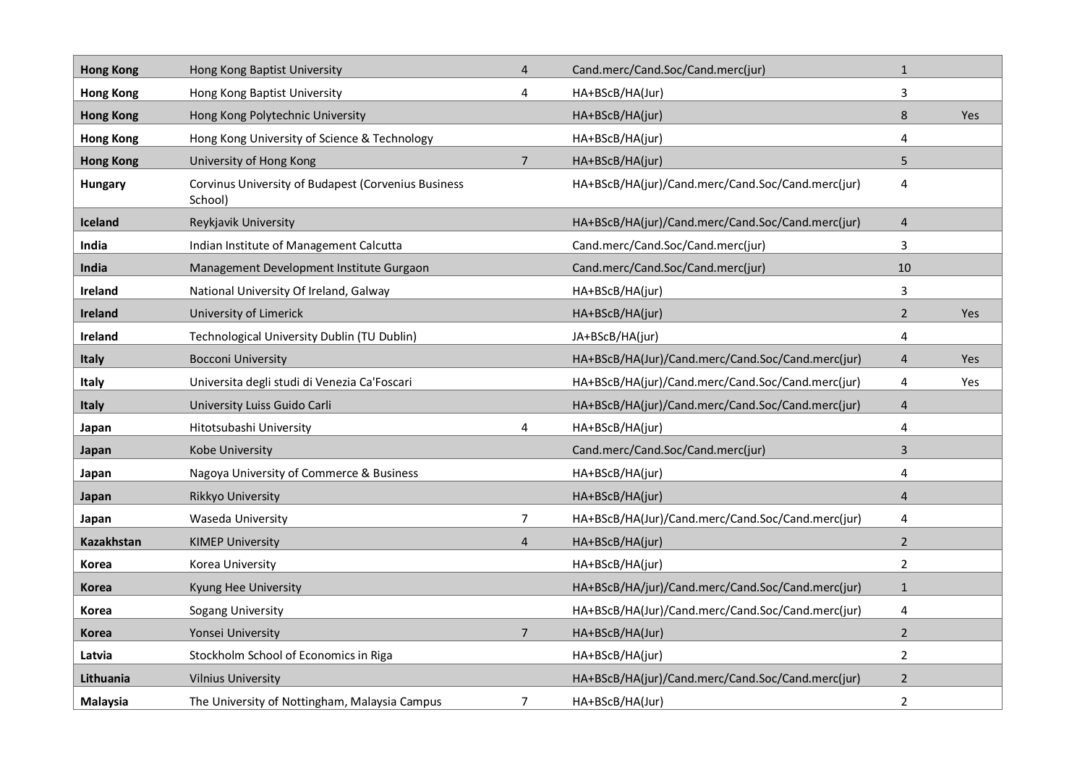| <b>Hong Kong</b> | Hong Kong Baptist University                                   | $\overline{4}$ | Cand.merc/Cand.Soc/Cand.merc(jur)                 | $\mathbf{1}$   |     |
|------------------|----------------------------------------------------------------|----------------|---------------------------------------------------|----------------|-----|
| <b>Hong Kong</b> | Hong Kong Baptist University                                   | 4              | HA+BScB/HA(Jur)                                   | 3              |     |
| <b>Hong Kong</b> | Hong Kong Polytechnic University                               |                | HA+BScB/HA(jur)                                   | $\,8\,$        | Yes |
| <b>Hong Kong</b> | Hong Kong University of Science & Technology                   |                | HA+BScB/HA(jur)                                   | 4              |     |
| <b>Hong Kong</b> | University of Hong Kong                                        | $\overline{7}$ | HA+BScB/HA(jur)                                   | 5              |     |
| <b>Hungary</b>   | Corvinus University of Budapest (Corvenius Business<br>School) |                | HA+BScB/HA(jur)/Cand.merc/Cand.Soc/Cand.merc(jur) | $\overline{4}$ |     |
| <b>Iceland</b>   | Reykjavik University                                           |                | HA+BScB/HA(jur)/Cand.merc/Cand.Soc/Cand.merc(jur) | $\overline{4}$ |     |
| India            | Indian Institute of Management Calcutta                        |                | Cand.merc/Cand.Soc/Cand.merc(jur)                 | 3              |     |
| India            | Management Development Institute Gurgaon                       |                | Cand.merc/Cand.Soc/Cand.merc(jur)                 | 10             |     |
| Ireland          | National University Of Ireland, Galway                         |                | HA+BScB/HA(jur)                                   | 3              |     |
| Ireland          | University of Limerick                                         |                | HA+BScB/HA(jur)                                   | $\overline{2}$ | Yes |
| Ireland          | Technological University Dublin (TU Dublin)                    |                | JA+BScB/HA(jur)                                   | 4              |     |
| Italy            | <b>Bocconi University</b>                                      |                | HA+BScB/HA(Jur)/Cand.merc/Cand.Soc/Cand.merc(jur) | 4              | Yes |
| <b>Italy</b>     | Universita degli studi di Venezia Ca'Foscari                   |                | HA+BScB/HA(jur)/Cand.merc/Cand.Soc/Cand.merc(jur) | 4              | Yes |
| Italy            | University Luiss Guido Carli                                   |                | HA+BScB/HA(jur)/Cand.merc/Cand.Soc/Cand.merc(jur) | $\overline{4}$ |     |
| Japan            | Hitotsubashi University                                        | 4              | HA+BScB/HA(jur)                                   | 4              |     |
| Japan            | <b>Kobe University</b>                                         |                | Cand.merc/Cand.Soc/Cand.merc(jur)                 | 3              |     |
| Japan            | Nagoya University of Commerce & Business                       |                | HA+BScB/HA(jur)                                   | 4              |     |
| Japan            | Rikkyo University                                              |                | HA+BScB/HA(jur)                                   | $\overline{4}$ |     |
| Japan            | Waseda University                                              | $\overline{7}$ | HA+BScB/HA(Jur)/Cand.merc/Cand.Soc/Cand.merc(jur) | 4              |     |
| Kazakhstan       | <b>KIMEP University</b>                                        | $\overline{4}$ | HA+BScB/HA(jur)                                   | $\overline{2}$ |     |
| Korea            | Korea University                                               |                | HA+BScB/HA(jur)                                   | $\overline{2}$ |     |
| Korea            | Kyung Hee University                                           |                | HA+BScB/HA/jur)/Cand.merc/Cand.Soc/Cand.merc(jur) | $\mathbf{1}$   |     |
| Korea            | Sogang University                                              |                | HA+BScB/HA(Jur)/Cand.merc/Cand.Soc/Cand.merc(jur) | $\overline{4}$ |     |
| Korea            | Yonsei University                                              | $\overline{7}$ | HA+BScB/HA(Jur)                                   | $\overline{2}$ |     |
| Latvia           | Stockholm School of Economics in Riga                          |                | HA+BScB/HA(jur)                                   | $\overline{2}$ |     |
| Lithuania        | <b>Vilnius University</b>                                      |                | HA+BScB/HA(jur)/Cand.merc/Cand.Soc/Cand.merc(jur) | 2              |     |
| Malaysia         | The University of Nottingham, Malaysia Campus                  | 7              | HA+BScB/HA(Jur)                                   | $\overline{2}$ |     |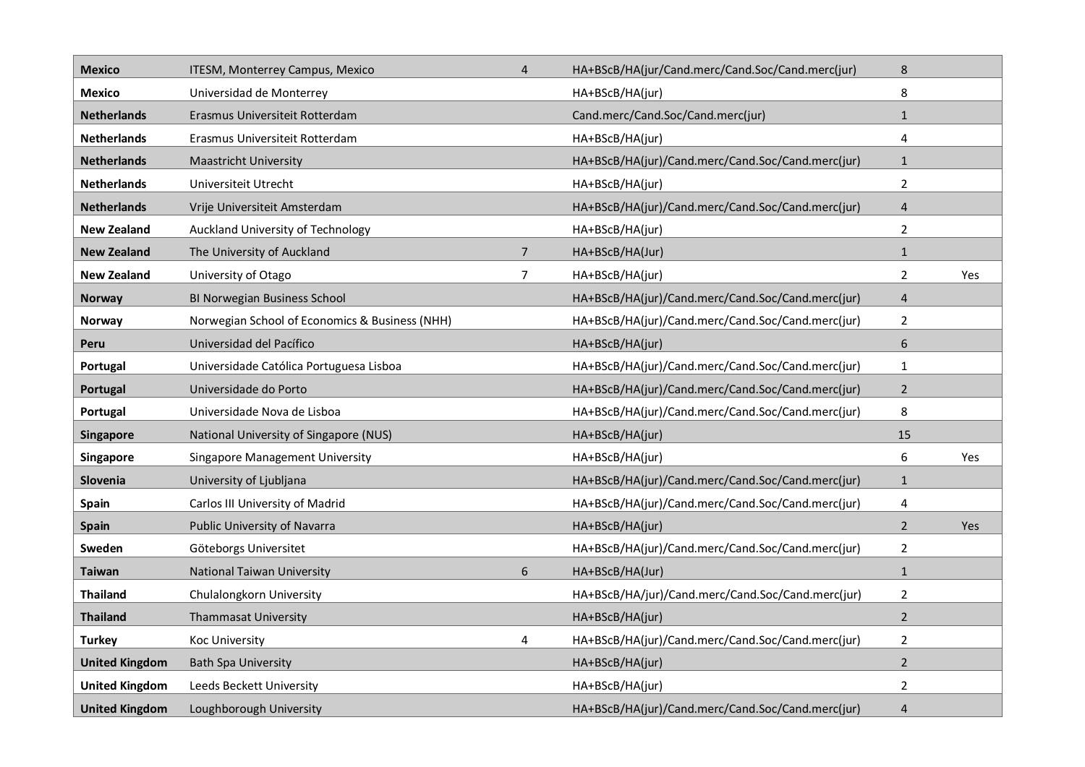| <b>Mexico</b>         | ITESM, Monterrey Campus, Mexico                | $\overline{4}$ | HA+BScB/HA(jur/Cand.merc/Cand.Soc/Cand.merc(jur)  | 8                |     |
|-----------------------|------------------------------------------------|----------------|---------------------------------------------------|------------------|-----|
| <b>Mexico</b>         | Universidad de Monterrey                       |                | HA+BScB/HA(jur)                                   | 8                |     |
| <b>Netherlands</b>    | Erasmus Universiteit Rotterdam                 |                | Cand.merc/Cand.Soc/Cand.merc(jur)                 | $\mathbf{1}$     |     |
| <b>Netherlands</b>    | Erasmus Universiteit Rotterdam                 |                | HA+BScB/HA(jur)                                   | 4                |     |
| <b>Netherlands</b>    | <b>Maastricht University</b>                   |                | HA+BScB/HA(jur)/Cand.merc/Cand.Soc/Cand.merc(jur) | $\mathbf{1}$     |     |
| <b>Netherlands</b>    | Universiteit Utrecht                           |                | HA+BScB/HA(jur)                                   | $\overline{2}$   |     |
| <b>Netherlands</b>    | Vrije Universiteit Amsterdam                   |                | HA+BScB/HA(jur)/Cand.merc/Cand.Soc/Cand.merc(jur) | $\overline{4}$   |     |
| <b>New Zealand</b>    | Auckland University of Technology              |                | HA+BScB/HA(jur)                                   | $\overline{2}$   |     |
| <b>New Zealand</b>    | The University of Auckland                     | $\overline{7}$ | HA+BScB/HA(Jur)                                   | $\mathbf{1}$     |     |
| <b>New Zealand</b>    | University of Otago                            | $\overline{7}$ | HA+BScB/HA(jur)                                   | $\overline{2}$   | Yes |
| <b>Norway</b>         | BI Norwegian Business School                   |                | HA+BScB/HA(jur)/Cand.merc/Cand.Soc/Cand.merc(jur) | $\overline{4}$   |     |
| Norway                | Norwegian School of Economics & Business (NHH) |                | HA+BScB/HA(jur)/Cand.merc/Cand.Soc/Cand.merc(jur) | $\overline{2}$   |     |
| Peru                  | Universidad del Pacífico                       |                | HA+BScB/HA(jur)                                   | $\boldsymbol{6}$ |     |
| Portugal              | Universidade Católica Portuguesa Lisboa        |                | HA+BScB/HA(jur)/Cand.merc/Cand.Soc/Cand.merc(jur) | $\mathbf{1}$     |     |
| Portugal              | Universidade do Porto                          |                | HA+BScB/HA(jur)/Cand.merc/Cand.Soc/Cand.merc(jur) | $\overline{2}$   |     |
| Portugal              | Universidade Nova de Lisboa                    |                | HA+BScB/HA(jur)/Cand.merc/Cand.Soc/Cand.merc(jur) | 8                |     |
| Singapore             | National University of Singapore (NUS)         |                | HA+BScB/HA(jur)                                   | 15               |     |
| Singapore             | Singapore Management University                |                | HA+BScB/HA(jur)                                   | 6                | Yes |
| Slovenia              | University of Ljubljana                        |                | HA+BScB/HA(jur)/Cand.merc/Cand.Soc/Cand.merc(jur) | $\mathbf{1}$     |     |
| Spain                 | Carlos III University of Madrid                |                | HA+BScB/HA(jur)/Cand.merc/Cand.Soc/Cand.merc(jur) | 4                |     |
| <b>Spain</b>          | Public University of Navarra                   |                | HA+BScB/HA(jur)                                   | $\overline{2}$   | Yes |
| Sweden                | Göteborgs Universitet                          |                | HA+BScB/HA(jur)/Cand.merc/Cand.Soc/Cand.merc(jur) | $\overline{2}$   |     |
| Taiwan                | <b>National Taiwan University</b>              | 6              | HA+BScB/HA(Jur)                                   | $\mathbf{1}$     |     |
| <b>Thailand</b>       | Chulalongkorn University                       |                | HA+BScB/HA/jur)/Cand.merc/Cand.Soc/Cand.merc(jur) | $\overline{2}$   |     |
| <b>Thailand</b>       | Thammasat University                           |                | HA+BScB/HA(jur)                                   | $\overline{2}$   |     |
| <b>Turkey</b>         | <b>Koc University</b>                          | 4              | HA+BScB/HA(jur)/Cand.merc/Cand.Soc/Cand.merc(jur) | $\overline{2}$   |     |
| <b>United Kingdom</b> | <b>Bath Spa University</b>                     |                | HA+BScB/HA(jur)                                   | $\mathbf 2$      |     |
| <b>United Kingdom</b> | Leeds Beckett University                       |                | HA+BScB/HA(jur)                                   | $\overline{2}$   |     |
| <b>United Kingdom</b> | Loughborough University                        |                | HA+BScB/HA(jur)/Cand.merc/Cand.Soc/Cand.merc(jur) | 4                |     |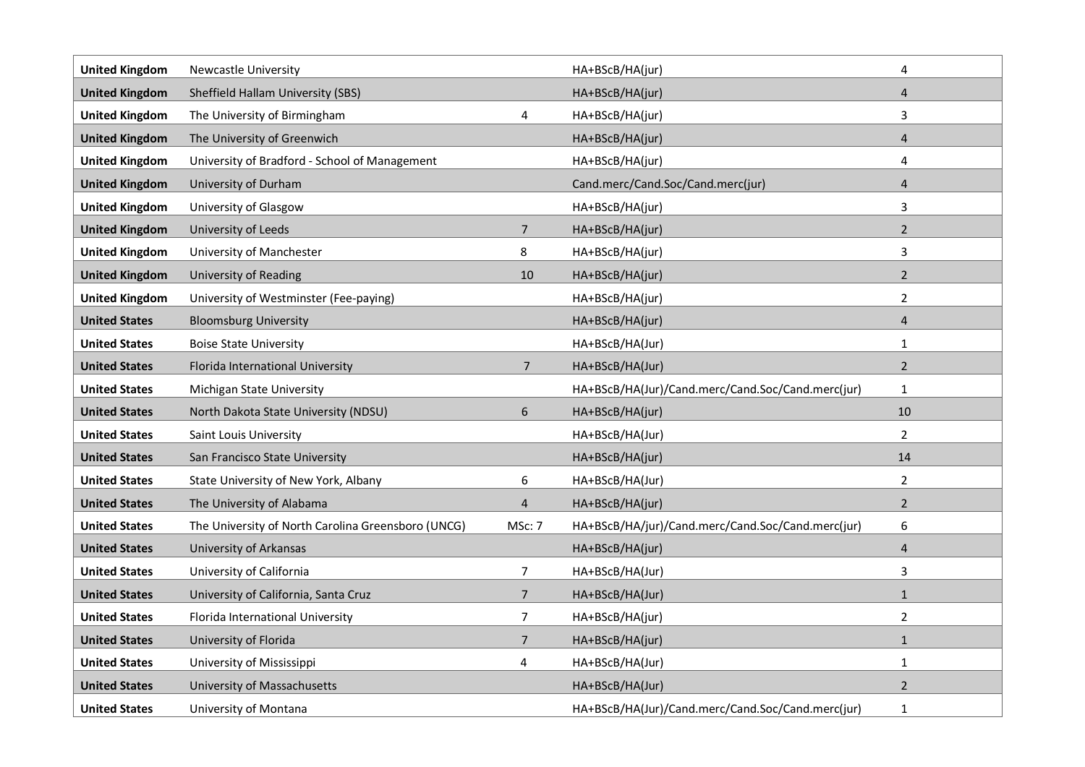| <b>United Kingdom</b> | <b>Newcastle University</b>                        |                | HA+BScB/HA(jur)                                   | 4                       |
|-----------------------|----------------------------------------------------|----------------|---------------------------------------------------|-------------------------|
| <b>United Kingdom</b> | Sheffield Hallam University (SBS)                  |                | HA+BScB/HA(jur)                                   | 4                       |
| <b>United Kingdom</b> | The University of Birmingham                       | 4              | HA+BScB/HA(jur)                                   | 3                       |
| <b>United Kingdom</b> | The University of Greenwich                        |                | HA+BScB/HA(jur)                                   | 4                       |
| <b>United Kingdom</b> | University of Bradford - School of Management      |                | HA+BScB/HA(jur)                                   | 4                       |
| <b>United Kingdom</b> | University of Durham                               |                | Cand.merc/Cand.Soc/Cand.merc(jur)                 | 4                       |
| <b>United Kingdom</b> | University of Glasgow                              |                | HA+BScB/HA(jur)                                   | 3                       |
| <b>United Kingdom</b> | University of Leeds                                | $\overline{7}$ | HA+BScB/HA(jur)                                   | $\overline{2}$          |
| <b>United Kingdom</b> | University of Manchester                           | 8              | HA+BScB/HA(jur)                                   | 3                       |
| <b>United Kingdom</b> | <b>University of Reading</b>                       | 10             | HA+BScB/HA(jur)                                   | $\overline{2}$          |
| <b>United Kingdom</b> | University of Westminster (Fee-paying)             |                | HA+BScB/HA(jur)                                   | $\overline{2}$          |
| <b>United States</b>  | <b>Bloomsburg University</b>                       |                | HA+BScB/HA(jur)                                   | $\overline{4}$          |
| <b>United States</b>  | <b>Boise State University</b>                      |                | HA+BScB/HA(Jur)                                   | $\mathbf{1}$            |
| <b>United States</b>  | Florida International University                   | $\overline{7}$ | HA+BScB/HA(Jur)                                   | $\overline{2}$          |
| <b>United States</b>  | Michigan State University                          |                | HA+BScB/HA(Jur)/Cand.merc/Cand.Soc/Cand.merc(jur) | $\mathbf{1}$            |
| <b>United States</b>  | North Dakota State University (NDSU)               | 6              | HA+BScB/HA(jur)                                   | 10                      |
| <b>United States</b>  | Saint Louis University                             |                | HA+BScB/HA(Jur)                                   | $\overline{2}$          |
| <b>United States</b>  | San Francisco State University                     |                | HA+BScB/HA(jur)                                   | 14                      |
| <b>United States</b>  | State University of New York, Albany               | 6              | HA+BScB/HA(Jur)                                   | $\overline{2}$          |
| <b>United States</b>  | The University of Alabama                          | $\overline{4}$ | HA+BScB/HA(jur)                                   | $\overline{2}$          |
| <b>United States</b>  | The University of North Carolina Greensboro (UNCG) | MSc: 7         | HA+BScB/HA/jur)/Cand.merc/Cand.Soc/Cand.merc(jur) | 6                       |
| <b>United States</b>  | <b>University of Arkansas</b>                      |                | HA+BScB/HA(jur)                                   | $\overline{\mathbf{r}}$ |
| <b>United States</b>  | University of California                           | $\overline{7}$ | HA+BScB/HA(Jur)                                   | 3                       |
| <b>United States</b>  | University of California, Santa Cruz               | $\overline{7}$ | HA+BScB/HA(Jur)                                   | $\mathbf{1}$            |
| <b>United States</b>  | Florida International University                   | $\overline{7}$ | HA+BScB/HA(jur)                                   | $\overline{2}$          |
| <b>United States</b>  | University of Florida                              | $\overline{7}$ | HA+BScB/HA(jur)                                   | $\mathbf{1}$            |
| <b>United States</b>  | University of Mississippi                          | 4              | HA+BScB/HA(Jur)                                   | $\mathbf{1}$            |
| <b>United States</b>  | University of Massachusetts                        |                | HA+BScB/HA(Jur)                                   | $\overline{2}$          |
| <b>United States</b>  | University of Montana                              |                | HA+BScB/HA(Jur)/Cand.merc/Cand.Soc/Cand.merc(jur) | $\mathbf{1}$            |